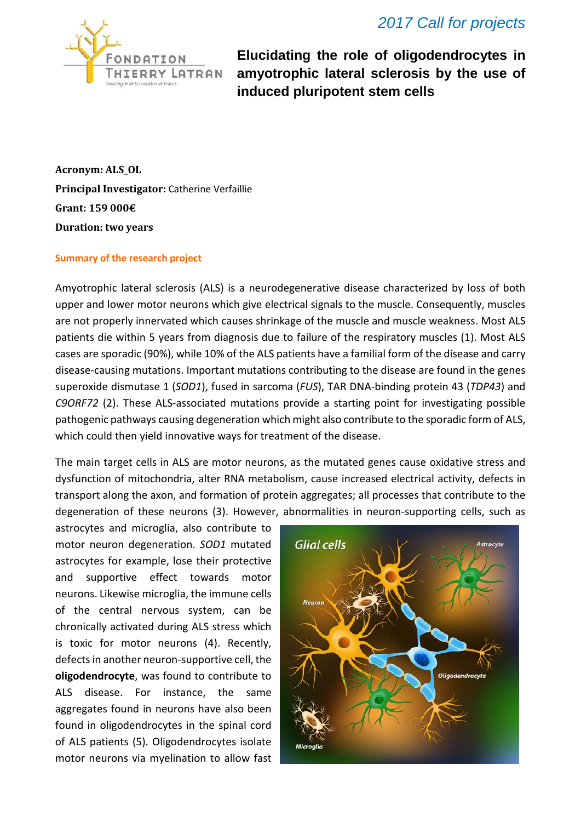

**Elucidating the role of oligodendrocytes in amyotrophic lateral sclerosis by the use of induced pluripotent stem cells**

**Acronym: ALS\_OL Principal Investigator:** Catherine Verfaillie **Grant: 159 000€ Duration: two years**

## **Summary of the research project**

Amyotrophic lateral sclerosis (ALS) is a neurodegenerative disease characterized by loss of both upper and lower motor neurons which give electrical signals to the muscle. Consequently, muscles are not properly innervated which causes shrinkage of the muscle and muscle weakness. Most ALS patients die within 5 years from diagnosis due to failure of the respiratory muscles (1). Most ALS cases are sporadic (90%), while 10% of the ALS patients have a familial form of the disease and carry disease-causing mutations. Important mutations contributing to the disease are found in the genes superoxide dismutase 1 (*SOD1*), fused in sarcoma (*FUS*), TAR DNA-binding protein 43 (*TDP43*) and *C9ORF72* (2). These ALS-associated mutations provide a starting point for investigating possible pathogenic pathways causing degeneration which might also contribute to the sporadic form of ALS, which could then yield innovative ways for treatment of the disease.

The main target cells in ALS are motor neurons, as the mutated genes cause oxidative stress and dysfunction of mitochondria, alter RNA metabolism, cause increased electrical activity, defects in transport along the axon, and formation of protein aggregates; all processes that contribute to the degeneration of these neurons (3). However, abnormalities in neuron-supporting cells, such as

astrocytes and microglia, also contribute to motor neuron degeneration. *SOD1* mutated astrocytes for example, lose their protective and supportive effect towards motor neurons. Likewise microglia, the immune cells of the central nervous system, can be chronically activated during ALS stress which is toxic for motor neurons (4). Recently, defects in another neuron-supportive cell, the **oligodendrocyte**, was found to contribute to ALS disease. For instance, the same aggregates found in neurons have also been found in oligodendrocytes in the spinal cord of ALS patients (5). Oligodendrocytes isolate motor neurons via myelination to allow fast

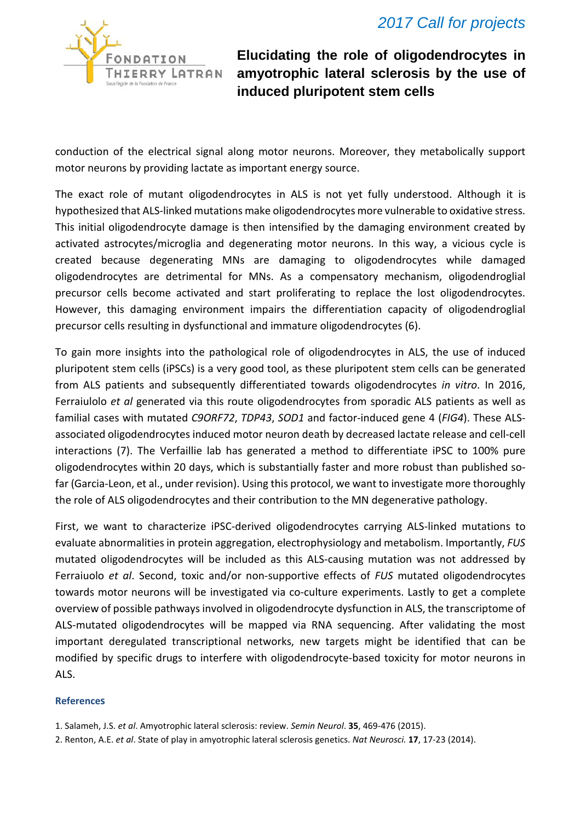

**Elucidating the role of oligodendrocytes in amyotrophic lateral sclerosis by the use of induced pluripotent stem cells**

conduction of the electrical signal along motor neurons. Moreover, they metabolically support motor neurons by providing lactate as important energy source.

The exact role of mutant oligodendrocytes in ALS is not yet fully understood. Although it is hypothesized that ALS-linked mutations make oligodendrocytes more vulnerable to oxidative stress. This initial oligodendrocyte damage is then intensified by the damaging environment created by activated astrocytes/microglia and degenerating motor neurons. In this way, a vicious cycle is created because degenerating MNs are damaging to oligodendrocytes while damaged oligodendrocytes are detrimental for MNs. As a compensatory mechanism, oligodendroglial precursor cells become activated and start proliferating to replace the lost oligodendrocytes. However, this damaging environment impairs the differentiation capacity of oligodendroglial precursor cells resulting in dysfunctional and immature oligodendrocytes (6).

To gain more insights into the pathological role of oligodendrocytes in ALS, the use of induced pluripotent stem cells (iPSCs) is a very good tool, as these pluripotent stem cells can be generated from ALS patients and subsequently differentiated towards oligodendrocytes *in vitro*. In 2016, Ferraiulolo *et al* generated via this route oligodendrocytes from sporadic ALS patients as well as familial cases with mutated *C9ORF72*, *TDP43*, *SOD1* and factor-induced gene 4 (*FIG4*). These ALSassociated oligodendrocytes induced motor neuron death by decreased lactate release and cell-cell interactions (7). The Verfaillie lab has generated a method to differentiate iPSC to 100% pure oligodendrocytes within 20 days, which is substantially faster and more robust than published sofar (Garcia-Leon, et al., under revision). Using this protocol, we want to investigate more thoroughly the role of ALS oligodendrocytes and their contribution to the MN degenerative pathology.

First, we want to characterize iPSC-derived oligodendrocytes carrying ALS-linked mutations to evaluate abnormalities in protein aggregation, electrophysiology and metabolism. Importantly, *FUS* mutated oligodendrocytes will be included as this ALS-causing mutation was not addressed by Ferraiuolo *et al*. Second, toxic and/or non-supportive effects of *FUS* mutated oligodendrocytes towards motor neurons will be investigated via co-culture experiments. Lastly to get a complete overview of possible pathways involved in oligodendrocyte dysfunction in ALS, the transcriptome of ALS-mutated oligodendrocytes will be mapped via RNA sequencing. After validating the most important deregulated transcriptional networks, new targets might be identified that can be modified by specific drugs to interfere with oligodendrocyte-based toxicity for motor neurons in ALS.

## **References**

2. Renton, A.E. *et al*. State of play in amyotrophic lateral sclerosis genetics. *Nat Neurosci.* **17**, 17-23 (2014).

<sup>1.</sup> Salameh, J.S. *et al*. Amyotrophic lateral sclerosis: review. *Semin Neurol*. **35**, 469-476 (2015).